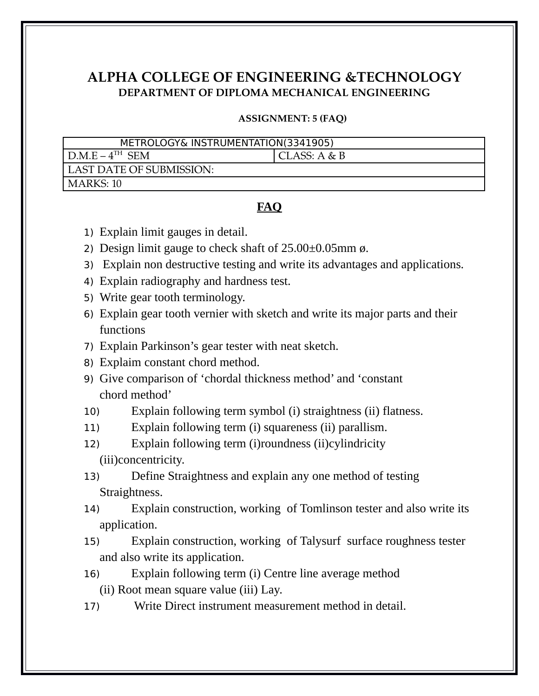## **ALPHA COLLEGE OF ENGINEERING &TECHNOLOGY DEPARTMENT OF DIPLOMA MECHANICAL ENGINEERING**

## **ASSIGNMENT: 5 (FAQ)**

| METROLOGY& INSTRUMENTATION(3341905) |                |
|-------------------------------------|----------------|
|                                     |                |
| $D.M.E-4TH$ SEM                     | CLASS: $A & B$ |
| LAST DATE OF SUBMISSION:            |                |
| MARKS: 10                           |                |

## **FAQ**

- 1) Explain limit gauges in detail.
- 2) Design limit gauge to check shaft of 25.00 $\pm$ 0.05mm ø.
- 3) Explain non destructive testing and write its advantages and applications.
- 4) Explain radiography and hardness test.
- 5) Write gear tooth terminology.
- 6) Explain gear tooth vernier with sketch and write its major parts and their functions
- 7) Explain Parkinson's gear tester with neat sketch.
- 8) Explaim constant chord method.
- 9) Give comparison of 'chordal thickness method' and 'constant chord method'
- 10) Explain following term symbol (i) straightness (ii) flatness.
- 11) Explain following term (i) squareness (ii) parallism.
- 12) Explain following term (i)roundness (ii)cylindricity (iii)concentricity.
- 13) Define Straightness and explain any one method of testing Straightness.
- 14) Explain construction, working of Tomlinson tester and also write its application.
- 15) Explain construction, working of Talysurf surface roughness tester and also write its application.
- 16) Explain following term (i) Centre line average method (ii) Root mean square value (iii) Lay.
- 17) Write Direct instrument measurement method in detail.